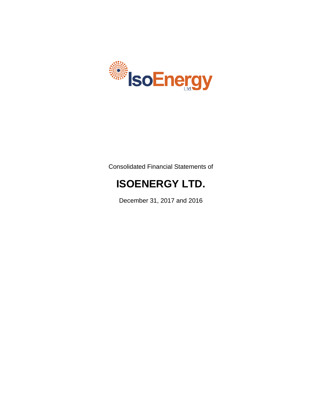

Consolidated Financial Statements of

# **ISOENERGY LTD.**

December 31, 2017 and 2016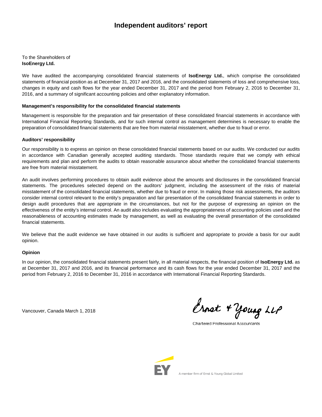## **Independent auditors' report**

To the Shareholders of **IsoEnergy Ltd.**

We have audited the accompanying consolidated financial statements of **IsoEnergy Ltd.**, which comprise the consolidated statements of financial position as at December 31, 2017 and 2016, and the consolidated statements of loss and comprehensive loss, changes in equity and cash flows for the year ended December 31, 2017 and the period from February 2, 2016 to December 31, 2016, and a summary of significant accounting policies and other explanatory information.

#### **Management's responsibility for the consolidated financial statements**

Management is responsible for the preparation and fair presentation of these consolidated financial statements in accordance with International Financial Reporting Standards, and for such internal control as management determines is necessary to enable the preparation of consolidated financial statements that are free from material misstatement, whether due to fraud or error.

#### **Auditors' responsibility**

Our responsibility is to express an opinion on these consolidated financial statements based on our audits. We conducted our audits in accordance with Canadian generally accepted auditing standards. Those standards require that we comply with ethical requirements and plan and perform the audits to obtain reasonable assurance about whether the consolidated financial statements are free from material misstatement.

An audit involves performing procedures to obtain audit evidence about the amounts and disclosures in the consolidated financial statements. The procedures selected depend on the auditors' judgment, including the assessment of the risks of material misstatement of the consolidated financial statements, whether due to fraud or error. In making those risk assessments, the auditors consider internal control relevant to the entity's preparation and fair presentation of the consolidated financial statements in order to design audit procedures that are appropriate in the circumstances, but not for the purpose of expressing an opinion on the effectiveness of the entity's internal control. An audit also includes evaluating the appropriateness of accounting policies used and the reasonableness of accounting estimates made by management, as well as evaluating the overall presentation of the consolidated financial statements.

We believe that the audit evidence we have obtained in our audits is sufficient and appropriate to provide a basis for our audit opinion.

#### **Opinion**

In our opinion, the consolidated financial statements present fairly, in all material respects, the financial position of **IsoEnergy Ltd.** as at December 31, 2017 and 2016, and its financial performance and its cash flows for the year ended December 31, 2017 and the period from February 2, 2016 to December 31, 2016 in accordance with International Financial Reporting Standards.

Vancouver, Canada March 1, 2018

Ernet + Young LLP

Chartered Professional Accountants

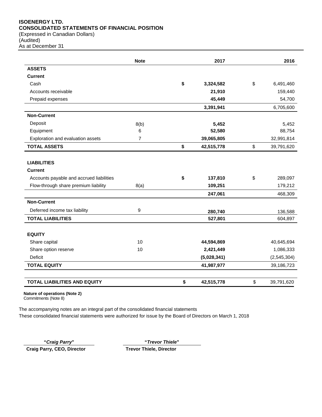## **ISOENERGY LTD. CONSOLIDATED STATEMENTS OF FINANCIAL POSITION**

(Expressed in Canadian Dollars) (Audited) As at December 31

|                                          | <b>Note</b>    | 2017             | 2016             |
|------------------------------------------|----------------|------------------|------------------|
| <b>ASSETS</b>                            |                |                  |                  |
| <b>Current</b>                           |                |                  |                  |
| Cash                                     |                | \$<br>3,324,582  | \$<br>6,491,460  |
| Accounts receivable                      |                | 21,910           | 159,440          |
| Prepaid expenses                         |                | 45,449           | 54,700           |
|                                          |                | 3,391,941        | 6,705,600        |
| <b>Non-Current</b>                       |                |                  |                  |
| Deposit                                  | 8(b)           | 5,452            | 5,452            |
| Equipment                                | 6              | 52,580           | 88,754           |
| Exploration and evaluation assets        | $\overline{7}$ | 39,065,805       | 32,991,814       |
| <b>TOTAL ASSETS</b>                      |                | \$<br>42,515,778 | \$<br>39,791,620 |
|                                          |                |                  |                  |
| <b>LIABILITIES</b>                       |                |                  |                  |
| <b>Current</b>                           |                |                  |                  |
| Accounts payable and accrued liabilities |                | \$<br>137,810    | \$<br>289,097    |
| Flow-through share premium liability     | 8(a)           | 109,251          | 179,212          |
|                                          |                | 247,061          | 468,309          |
| <b>Non-Current</b>                       |                |                  |                  |
| Deferred income tax liability            | 9              | 280,740          | 136,588          |
| <b>TOTAL LIABILITIES</b>                 |                | 527,801          | 604,897          |
|                                          |                |                  |                  |
| <b>EQUITY</b>                            |                |                  |                  |
| Share capital                            | 10             | 44,594,869       | 40,645,694       |
| Share option reserve                     | 10             | 2,421,449        | 1,086,333        |
| Deficit                                  |                | (5,028,341)      | (2, 545, 304)    |
| <b>TOTAL EQUITY</b>                      |                | 41,987,977       | 39,186,723       |
| <b>TOTAL LIABILITIES AND EQUITY</b>      |                | \$<br>42,515,778 | \$<br>39,791,620 |

**Nature of operations (Note 2)**

Commitments (Note 8)

The accompanying notes are an integral part of the consolidated financial statements These consolidated financial statements were authorized for issue by the Board of Directors on March 1, 2018

**"***Craig Parry***" "***Trevor Thiele***"**

**Craig Parry, CEO, Director Trevor Thiele, Director**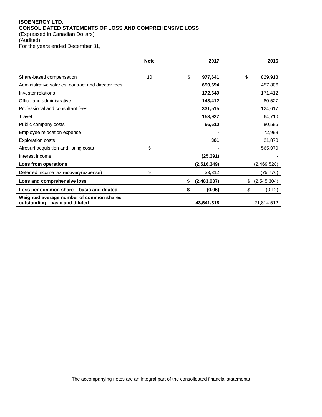## **ISOENERGY LTD. CONSOLIDATED STATEMENTS OF LOSS AND COMPREHENSIVE LOSS**

(Expressed in Canadian Dollars)

(Audited)

For the years ended December 31,

|                                                                             | <b>Note</b> | 2017              | 2016              |
|-----------------------------------------------------------------------------|-------------|-------------------|-------------------|
| Share-based compensation                                                    | 10          | \$<br>977,641     | \$<br>829,913     |
| Administrative salaries, contract and director fees                         |             | 690,694           | 457,806           |
| Investor relations                                                          |             | 172,640           | 171,412           |
| Office and administrative                                                   |             | 148,412           | 80,527            |
| Professional and consultant fees                                            |             | 331,515           | 124,617           |
| Travel                                                                      |             | 153,927           | 64,710            |
| Public company costs                                                        |             | 66,610            | 80,596            |
| Employee relocation expense                                                 |             |                   | 72,998            |
| <b>Exploration costs</b>                                                    |             | 301               | 21,870            |
| Airesurf acquisition and listing costs                                      | 5           |                   | 565,079           |
| Interest income                                                             |             | (25, 391)         |                   |
| Loss from operations                                                        |             | (2,516,349)       | (2,469,528)       |
| Deferred income tax recovery (expense)                                      | 9           | 33,312            | (75, 776)         |
| Loss and comprehensive loss                                                 |             | \$<br>(2,483,037) | \$<br>(2,545,304) |
| Loss per common share - basic and diluted                                   |             | \$<br>(0.06)      | \$<br>(0.12)      |
| Weighted average number of common shares<br>outstanding - basic and diluted |             | 43,541,318        | 21,814,512        |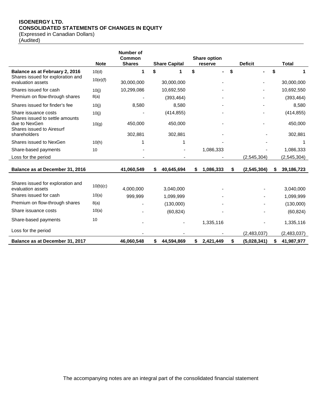## **ISOENERGY LTD. CONSOLIDATED STATEMENTS OF CHANGES IN EQUITY**

(Expressed in Canadian Dollars)

(Audited)

|                                                         |             | <b>Number of</b><br>Common |    |                      | <b>Share option</b>  |                     |                  |
|---------------------------------------------------------|-------------|----------------------------|----|----------------------|----------------------|---------------------|------------------|
|                                                         | <b>Note</b> | <b>Shares</b>              |    | <b>Share Capital</b> | reserve              | <b>Deficit</b>      | <b>Total</b>     |
| Balance as at February 2, 2016                          | 10(d)       | 1                          | S  |                      | \$<br>$\blacksquare$ | \$                  | \$               |
| Shares issued for exploration and<br>evaluation assets  | 10(e)(f)    | 30,000,000                 |    | 30,000,000           |                      |                     | 30,000,000       |
| Shares issued for cash                                  | 10(j)       | 10,299,086                 |    | 10,692,550           |                      |                     | 10,692,550       |
| Premium on flow-through shares                          | 8(a)        |                            |    | (393, 464)           |                      |                     | (393, 464)       |
| Shares issued for finder's fee                          | 10(j)       | 8,580                      |    | 8,580                |                      |                     | 8,580            |
| Share issuance costs<br>Shares issued to settle amounts | 10(j)       |                            |    | (414, 855)           |                      |                     | (414, 855)       |
| due to NexGen<br>Shares issued to Airesurf              | 10(g)       | 450,000                    |    | 450,000              |                      |                     | 450,000          |
| shareholders                                            |             | 302,881                    |    | 302,881              |                      |                     | 302,881          |
| Shares issued to NexGen                                 | 10(h)       |                            |    |                      |                      |                     |                  |
| Share-based payments                                    | 10          |                            |    |                      | 1,086,333            |                     | 1,086,333        |
| Loss for the period                                     |             |                            |    |                      |                      | (2,545,304)         | (2, 545, 304)    |
| Balance as at December 31, 2016                         |             | 41,060,549                 | \$ | 40,645,694           | \$<br>1,086,333      | \$<br>(2, 545, 304) | \$<br>39,186,723 |
| Shares issued for exploration and<br>evaluation assets  | 10(b)(c)    | 4,000,000                  |    | 3,040,000            |                      |                     | 3,040,000        |
| Shares issued for cash                                  | 10(a)       | 999,999                    |    | 1,099,999            |                      |                     | 1,099,999        |
| Premium on flow-through shares                          | 8(a)        |                            |    | (130,000)            |                      |                     | (130,000)        |
| Share issuance costs                                    | 10(a)       |                            |    | (60, 824)            |                      |                     | (60, 824)        |
| Share-based payments                                    | 10          |                            |    |                      | 1,335,116            |                     | 1,335,116        |
| Loss for the period                                     |             |                            |    |                      |                      | (2,483,037)         | (2,483,037)      |
| Balance as at December 31, 2017                         |             | 46,060,548                 | \$ | 44,594,869           | \$<br>2,421,449      | \$<br>(5,028,341)   | \$<br>41,987,977 |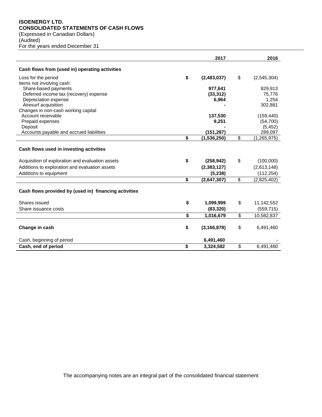## **ISOENERGY LTD. CONSOLIDATED STATEMENTS OF CASH FLOWS**

(Expressed in Canadian Dollars)

(Audited) For the years ended December 31

|                                                           | 2017                |                          | 2016          |
|-----------------------------------------------------------|---------------------|--------------------------|---------------|
| Cash flows from (used in) operating activities            |                     |                          |               |
| Loss for the period                                       | \$<br>(2,483,037)   | \$                       | (2,545,304)   |
| Items not involving cash:                                 |                     |                          |               |
| Share-based payments                                      | 977,641             |                          | 829,913       |
| Deferred income tax (recovery) expense                    | (33, 312)           |                          | 75.776        |
| Depreciation expense                                      | 6,964               |                          | 1,254         |
| Airesurf acquisition                                      |                     |                          | 302.881       |
| Changes in non-cash working capital<br>Account receivable | 137,530             |                          | (159, 440)    |
| Prepaid expenses                                          | 9,251               |                          | (54,700)      |
| Deposit                                                   |                     |                          | (5, 452)      |
| Accounts payable and accrued liabilities                  | (151, 287)          |                          | 289,097       |
|                                                           | \$<br>(1,536,250)   | $\overline{\mathcal{S}}$ | (1, 265, 975) |
| Cash flows used in investing activities                   |                     |                          |               |
| Acquisition of exploration and evaluation assets          | \$<br>(258, 942)    | \$                       | (100,000)     |
| Additions to exploration and evaluation assets            | (2, 383, 127)       |                          | (2,613,148)   |
| Additions to equipment                                    | (5, 238)            |                          | (112, 254)    |
|                                                           | \$<br>(2,647,307)   | \$                       | (2,825,402)   |
| Cash flows provided by (used in) financing activities     |                     |                          |               |
| Shares issued                                             | \$<br>1,099,999     | \$                       | 11,142,552    |
| Share issuance costs                                      | (83, 320)           |                          | (559, 715)    |
|                                                           | \$<br>1,016,679     | \$                       | 10,582,837    |
| Change in cash                                            | \$<br>(3, 166, 878) | \$                       | 6,491,460     |
| Cash, beginning of period                                 | 6,491,460           |                          |               |
| Cash, end of period                                       | \$<br>3,324,582     | \$                       | 6.491.460     |

The accompanying notes are an integral part of the consolidated financial statement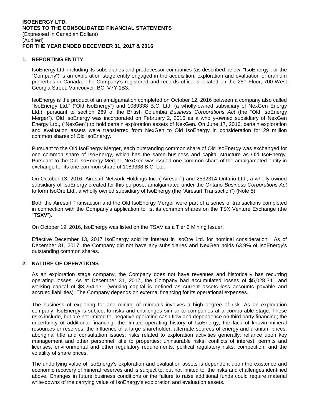## **1. REPORTING ENTITY**

IsoEnergy Ltd. including its subsidiaries and predecessor companies (as described below, "IsoEnergy", or the "Company") is an exploration stage entity engaged in the acquisition, exploration and evaluation of uranium properties in Canada. The Company's registered and records office is located on the 25<sup>th</sup> Floor, 700 West Georgia Street, Vancouver, BC, V7Y 1B3.

IsoEnergy is the product of an amalgamation completed on October 12, 2016 between a company also called "IsoEnergy Ltd." ("Old IsoEnergy") and 1089338 B.C. Ltd. (a wholly-owned subsidiary of NexGen Energy Ltd.), pursuant to section 269 of the British Columbia *Business Corporations Act* (the "Old IsoEnergy Merger"). Old IsoEnergy was incorporated on February 2, 2016 as a wholly-owned subsidiary of NexGen Energy Ltd., ("NexGen") to hold certain exploration assets of NexGen. On June 17, 2016, certain exploration and evaluation assets were transferred from NexGen to Old IsoEnergy in consideration for 29 million common shares of Old IsoEnergy.

Pursuant to the Old IsoEnergy Merger, each outstanding common share of Old IsoEnergy was exchanged for one common share of IsoEnergy, which has the same business and capital structure as Old IsoEnergy. Pursuant to the Old IsoEnergy Merger, NexGen was issued one common share of the amalgamated entity in exchange for its one common share of 1089338 B.C. Ltd.

On October 13, 2016, Airesurf Network Holdings Inc. ("Airesurf") and 2532314 Ontario Ltd., a wholly owned subsidiary of IsoEnergy created for this purpose, amalgamated under the Ontario *Business Corporations Act* to form IsoOre Ltd., a wholly owned subsidiary of IsoEnergy (the "Airesurf Transaction") (Note 5).

Both the Airesurf Transaction and the Old IsoEnergy Merger were part of a series of transactions completed in connection with the Company's application to list its common shares on the TSX Venture Exchange (the "**TSXV**").

On October 19, 2016, IsoEnergy was listed on the TSXV as a Tier 2 Mining Issuer.

Effective December 13, 2017 IsoEnergy sold its interest in IsoOre Ltd. for nominal consideration. As of December 31, 2017, the Company did not have any subsidiaries and NexGen holds 63.9% of IsoEnergy's outstanding common shares.

## **2. NATURE OF OPERATIONS**

As an exploration stage company, the Company does not have revenues and historically has recurring operating losses. As at December 31, 2017, the Company had accumulated losses of \$5,028,341 and working capital of \$3,254,131 (working capital is defined as current assets less accounts payable and accrued liabilities). The Company depends on external financing for its operational expenses.

The business of exploring for and mining of minerals involves a high degree of risk. As an exploration company, IsoEnergy is subject to risks and challenges similar to companies at a comparable stage. These risks include, but are not limited to, negative operating cash flow and dependence on third party financing; the uncertainty of additional financing; the limited operating history of IsoEnergy; the lack of known mineral resources or reserves; the influence of a large shareholder; alternate sources of energy and uranium prices; aboriginal title and consultation issues; risks related to exploration activities generally; reliance upon key management and other personnel; title to properties; uninsurable risks; conflicts of interest; permits and licenses; environmental and other regulatory requirements; political regulatory risks; competition; and the volatility of share prices.

The underlying value of IsoEnergy's exploration and evaluation assets is dependent upon the existence and economic recovery of mineral reserves and is subject to, but not limited to, the risks and challenges identified above. Changes in future business conditions or the failure to raise additional funds could require material write-downs of the carrying value of IsoEnergy's exploration and evaluation assets.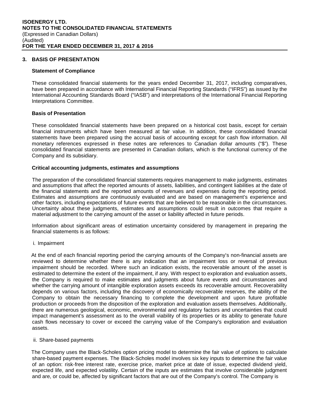## **3. BASIS OF PRESENTATION**

#### **Statement of Compliance**

These consolidated financial statements for the years ended December 31, 2017, including comparatives, have been prepared in accordance with International Financial Reporting Standards ("IFRS") as issued by the International Accounting Standards Board ("IASB") and interpretations of the International Financial Reporting Interpretations Committee.

## **Basis of Presentation**

These consolidated financial statements have been prepared on a historical cost basis, except for certain financial instruments which have been measured at fair value. In addition, these consolidated financial statements have been prepared using the accrual basis of accounting except for cash flow information. All monetary references expressed in these notes are references to Canadian dollar amounts ("\$"). These consolidated financial statements are presented in Canadian dollars, which is the functional currency of the Company and its subsidiary.

#### **Critical accounting judgments, estimates and assumptions**

The preparation of the consolidated financial statements requires management to make judgments, estimates and assumptions that affect the reported amounts of assets, liabilities, and contingent liabilities at the date of the financial statements and the reported amounts of revenues and expenses during the reporting period. Estimates and assumptions are continuously evaluated and are based on management's experience and other factors, including expectations of future events that are believed to be reasonable in the circumstances. Uncertainty about these judgments, estimates and assumptions could result in outcomes that require a material adjustment to the carrying amount of the asset or liability affected in future periods.

Information about significant areas of estimation uncertainty considered by management in preparing the financial statements is as follows:

i. Impairment

At the end of each financial reporting period the carrying amounts of the Company's non-financial assets are reviewed to determine whether there is any indication that an impairment loss or reversal of previous impairment should be recorded. Where such an indication exists, the recoverable amount of the asset is estimated to determine the extent of the impairment, if any. With respect to exploration and evaluation assets, the Company is required to make estimates and judgments about future events and circumstances and whether the carrying amount of intangible exploration assets exceeds its recoverable amount. Recoverability depends on various factors, including the discovery of economically recoverable reserves, the ability of the Company to obtain the necessary financing to complete the development and upon future profitable production or proceeds from the disposition of the exploration and evaluation assets themselves. Additionally, there are numerous geological, economic, environmental and regulatory factors and uncertainties that could impact management's assessment as to the overall viability of its properties or its ability to generate future cash flows necessary to cover or exceed the carrying value of the Company's exploration and evaluation assets.

#### ii. Share-based payments

The Company uses the Black-Scholes option pricing model to determine the fair value of options to calculate share-based payment expenses. The Black-Scholes model involves six key inputs to determine the fair value of an option: risk-free interest rate, exercise price, market price at date of issue, expected dividend yield, expected life, and expected volatility. Certain of the inputs are estimates that involve considerable judgment and are, or could be, affected by significant factors that are out of the Company's control. The Company is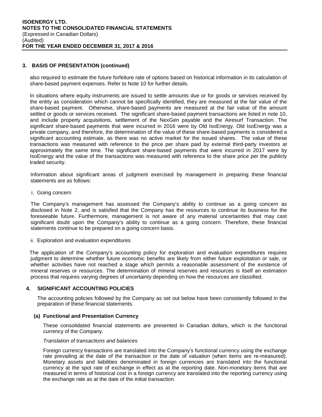## **3. BASIS OF PRESENTATION (continued)**

also required to estimate the future forfeiture rate of options based on historical information in its calculation of share-based payment expenses. Refer to Note 10 for further details.

In situations where equity instruments are issued to settle amounts due or for goods or services received by the entity as consideration which cannot be specifically identified, they are measured at the fair value of the share-based payment. Otherwise, share-based payments are measured at the fair value of the amount settled or goods or services received. The significant share-based payment transactions are listed in note 10, and include property acquisitions, settlement of the NexGen payable and the Airesurf Transaction. The significant share-based payments that were incurred in 2016 were by Old IsoEnergy. Old IsoEnergy was a private company, and therefore, the determination of the value of these share-based payments is considered a significant accounting estimate, as there was no active market for the issued shares. The value of these transactions was measured with reference to the price per share paid by external third-party investors at approximately the same time. The significant share-based payments that were incurred in 2017 were by IsoEnergy and the value of the transactions was measured with reference to the share price per the publicly traded security.

Information about significant areas of judgment exercised by management in preparing these financial statements are as follows:

i. Going concern

The Company's management has assessed the Company's ability to continue as a going concern as disclosed in Note 2, and is satisfied that the Company has the resources to continue its business for the foreseeable future. Furthermore, management is not aware of any material uncertainties that may cast significant doubt upon the Company's ability to continue as a going concern. Therefore, these financial statements continue to be prepared on a going concern basis.

ii. Exploration and evaluation expenditures

The application of the Company's accounting policy for exploration and evaluation expenditures requires judgment to determine whether future economic benefits are likely from either future exploitation or sale, or whether activities have not reached a stage which permits a reasonable assessment of the existence of mineral reserves or resources. The determination of mineral reserves and resources is itself an estimation process that requires varying degrees of uncertainty depending on how the resources are classified.

## **4. SIGNIFICANT ACCOUNTING POLICIES**

The accounting policies followed by the Company as set out below have been consistently followed in the preparation of these financial statements.

## **(a) Functional and Presentation Currency**

These consolidated financial statements are presented in Canadian dollars, which is the functional currency of the Company.

#### *Translation of transactions and balances*

Foreign currency transactions are translated into the Company's functional currency using the exchange rate prevailing at the date of the transaction or the date of valuation (when items are re-measured). Monetary assets and liabilities denominated in foreign currencies are translated into the functional currency at the spot rate of exchange in effect as at the reporting date. Non-monetary items that are measured in terms of historical cost in a foreign currency are translated into the reporting currency using the exchange rate as at the date of the initial transaction.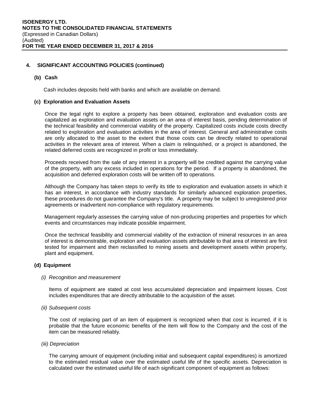#### **(b) Cash**

Cash includes deposits held with banks and which are available on demand.

#### **(c) Exploration and Evaluation Assets**

Once the legal right to explore a property has been obtained, exploration and evaluation costs are capitalized as exploration and evaluation assets on an area of interest basis, pending determination of the technical feasibility and commercial viability of the property. Capitalized costs include costs directly related to exploration and evaluation activities in the area of interest. General and administrative costs are only allocated to the asset to the extent that those costs can be directly related to operational activities in the relevant area of interest. When a claim is relinquished, or a project is abandoned, the related deferred costs are recognized in profit or loss immediately.

Proceeds received from the sale of any interest in a property will be credited against the carrying value of the property, with any excess included in operations for the period. If a property is abandoned, the acquisition and deferred exploration costs will be written off to operations.

Although the Company has taken steps to verify its title to exploration and evaluation assets in which it has an interest, in accordance with industry standards for similarly advanced exploration properties, these procedures do not guarantee the Company's title. A property may be subject to unregistered prior agreements or inadvertent non-compliance with regulatory requirements.

 Management regularly assesses the carrying value of non-producing properties and properties for which events and circumstances may indicate possible impairment.

Once the technical feasibility and commercial viability of the extraction of mineral resources in an area of interest is demonstrable, exploration and evaluation assets attributable to that area of interest are first tested for impairment and then reclassified to mining assets and development assets within property, plant and equipment.

## **(d) Equipment**

#### *(i) Recognition and measurement*

Items of equipment are stated at cost less accumulated depreciation and impairment losses. Cost includes expenditures that are directly attributable to the acquisition of the asset.

#### *(ii) Subsequent costs*

The cost of replacing part of an item of equipment is recognized when that cost is incurred, if it is probable that the future economic benefits of the item will flow to the Company and the cost of the item can be measured reliably.

*(iii) Depreciation* 

The carrying amount of equipment (including initial and subsequent capital expenditures) is amortized to the estimated residual value over the estimated useful life of the specific assets. Depreciation is calculated over the estimated useful life of each significant component of equipment as follows: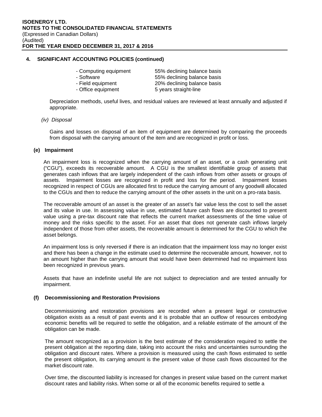|  |  | - Computing equipment |
|--|--|-----------------------|
|--|--|-----------------------|

- 
- -

55% declining balance basis - Software 65% declining balance basis - Field equipment 20% declining balance basis - Office equipment 5 years straight-line

Depreciation methods, useful lives, and residual values are reviewed at least annually and adjusted if appropriate.

#### *(iv) Disposal*

Gains and losses on disposal of an item of equipment are determined by comparing the proceeds from disposal with the carrying amount of the item and are recognized in profit or loss.

#### **(e) Impairment**

An impairment loss is recognized when the carrying amount of an asset, or a cash generating unit ("CGU"), exceeds its recoverable amount. A CGU is the smallest identifiable group of assets that generates cash inflows that are largely independent of the cash inflows from other assets or groups of assets. Impairment losses are recognized in profit and loss for the period. Impairment losses recognized in respect of CGUs are allocated first to reduce the carrying amount of any goodwill allocated to the CGUs and then to reduce the carrying amount of the other assets in the unit on a pro-rata basis.

The recoverable amount of an asset is the greater of an asset's fair value less the cost to sell the asset and its value in use. In assessing value in use, estimated future cash flows are discounted to present value using a pre-tax discount rate that reflects the current market assessments of the time value of money and the risks specific to the asset. For an asset that does not generate cash inflows largely independent of those from other assets, the recoverable amount is determined for the CGU to which the asset belongs.

An impairment loss is only reversed if there is an indication that the impairment loss may no longer exist and there has been a change in the estimate used to determine the recoverable amount, however, not to an amount higher than the carrying amount that would have been determined had no impairment loss been recognized in previous years.

Assets that have an indefinite useful life are not subject to depreciation and are tested annually for impairment.

#### **(f) Decommissioning and Restoration Provisions**

Decommissioning and restoration provisions are recorded when a present legal or constructive obligation exists as a result of past events and it is probable that an outflow of resources embodying economic benefits will be required to settle the obligation, and a reliable estimate of the amount of the obligation can be made.

The amount recognized as a provision is the best estimate of the consideration required to settle the present obligation at the reporting date, taking into account the risks and uncertainties surrounding the obligation and discount rates. Where a provision is measured using the cash flows estimated to settle the present obligation, its carrying amount is the present value of those cash flows discounted for the market discount rate.

Over time, the discounted liability is increased for changes in present value based on the current market discount rates and liability risks. When some or all of the economic benefits required to settle a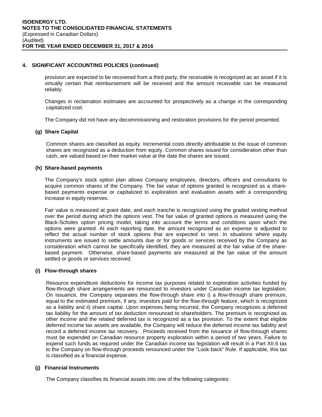provision are expected to be recovered from a third party, the receivable is recognized as an asset if it is virtually certain that reimbursement will be received and the amount receivable can be measured reliably.

Changes in reclamation estimates are accounted for prospectively as a change in the corresponding capitalized cost.

The Company did not have any decommissioning and restoration provisions for the period presented.

## **(g) Share Capital**

Common shares are classified as equity. Incremental costs directly attributable to the issue of common shares are recognized as a deduction from equity. Common shares issued for consideration other than cash, are valued based on their market value at the date the shares are issued.

## **(h) Share-based payments**

The Company's stock option plan allows Company employees, directors, officers and consultants to acquire common shares of the Company. The fair value of options granted is recognized as a sharebased payments expense or capitalized to exploration and evaluation assets with a corresponding increase in equity reserves.

Fair value is measured at grant date, and each tranche is recognized using the graded vesting method over the period during which the options vest. The fair value of granted options is measured using the Black-Scholes option pricing model, taking into account the terms and conditions upon which the options were granted. At each reporting date, the amount recognized as an expense is adjusted to reflect the actual number of stock options that are expected to vest. In situations where equity instruments are issued to settle amounts due or for goods or services received by the Company as consideration which cannot be specifically identified, they are measured at the fair value of the sharebased payment. Otherwise, share-based payments are measured at the fair value of the amount settled or goods or services received.

## **(i) Flow-through shares**

Resource expenditure deductions for income tax purposes related to exploration activities funded by flow-through share arrangements are renounced to investors under Canadian income tax legislation. On issuance, the Company separates the flow-through share into i) a flow-through share premium, equal to the estimated premium, if any, investors paid for the flow-through feature, which is recognized as a liability and ii) share capital. Upon expenses being incurred, the Company recognizes a deferred tax liability for the amount of tax deduction renounced to shareholders. The premium is recognized as other income and the related deferred tax is recognized as a tax provision. To the extent that eligible deferred income tax assets are available, the Company will reduce the deferred income tax liability and record a deferred income tax recovery. Proceeds received from the issuance of flow-through shares must be expended on Canadian resource property exploration within a period of two years. Failure to expend such funds as required under the Canadian income tax legislation will result in a Part XII.6 tax to the Company on flow-through proceeds renounced under the "Look-back" Rule. If applicable, this tax is classified as a financial expense.

## **(j) Financial Instruments**

The Company classifies its financial assets into one of the following categories: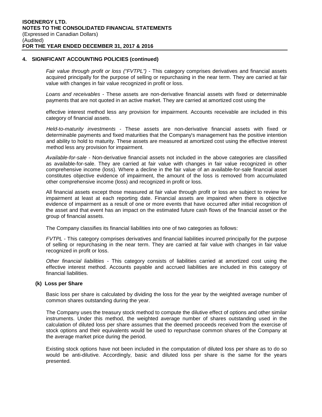*Fair value through profit or loss ("FVTPL") -* This category comprises derivatives and financial assets acquired principally for the purpose of selling or repurchasing in the near term. They are carried at fair value with changes in fair value recognized in profit or loss.

*Loans and receivables* - These assets are non-derivative financial assets with fixed or determinable payments that are not quoted in an active market. They are carried at amortized cost using the

effective interest method less any provision for impairment. Accounts receivable are included in this category of financial assets.

*Held-to-maturity investments -* These assets are non-derivative financial assets with fixed or determinable payments and fixed maturities that the Company's management has the positive intention and ability to hold to maturity. These assets are measured at amortized cost using the effective interest method less any provision for impairment.

*Available-for-sale* - Non-derivative financial assets not included in the above categories are classified as available-for-sale. They are carried at fair value with changes in fair value recognized in other comprehensive income (loss). Where a decline in the fair value of an available-for-sale financial asset constitutes objective evidence of impairment, the amount of the loss is removed from accumulated other comprehensive income (loss) and recognized in profit or loss.

All financial assets except those measured at fair value through profit or loss are subject to review for impairment at least at each reporting date. Financial assets are impaired when there is objective evidence of impairment as a result of one or more events that have occurred after initial recognition of the asset and that event has an impact on the estimated future cash flows of the financial asset or the group of financial assets.

The Company classifies its financial liabilities into one of two categories as follows:

*FVTPL* - This category comprises derivatives and financial liabilities incurred principally for the purpose of selling or repurchasing in the near term. They are carried at fair value with changes in fair value recognized in profit or loss.

*Other financial liabilities -* This category consists of liabilities carried at amortized cost using the effective interest method. Accounts payable and accrued liabilities are included in this category of financial liabilities.

#### **(k) Loss per Share**

Basic loss per share is calculated by dividing the loss for the year by the weighted average number of common shares outstanding during the year.

The Company uses the treasury stock method to compute the dilutive effect of options and other similar instruments. Under this method, the weighted average number of shares outstanding used in the calculation of diluted loss per share assumes that the deemed proceeds received from the exercise of stock options and their equivalents would be used to repurchase common shares of the Company at the average market price during the period.

Existing stock options have not been included in the computation of diluted loss per share as to do so would be anti-dilutive. Accordingly, basic and diluted loss per share is the same for the years presented.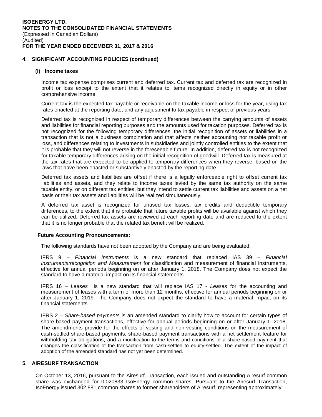#### **(l) Income taxes**

Income tax expense comprises current and deferred tax. Current tax and deferred tax are recognized in profit or loss except to the extent that it relates to items recognized directly in equity or in other comprehensive income.

Current tax is the expected tax payable or receivable on the taxable income or loss for the year, using tax rates enacted at the reporting date, and any adjustment to tax payable in respect of previous years.

Deferred tax is recognized in respect of temporary differences between the carrying amounts of assets and liabilities for financial reporting purposes and the amounts used for taxation purposes. Deferred tax is not recognized for the following temporary differences: the initial recognition of assets or liabilities in a transaction that is not a business combination and that affects neither accounting nor taxable profit or loss, and differences relating to investments in subsidiaries and jointly controlled entities to the extent that it is probable that they will not reverse in the foreseeable future. In addition, deferred tax is not recognized for taxable temporary differences arising on the initial recognition of goodwill. Deferred tax is measured at the tax rates that are expected to be applied to temporary differences when they reverse, based on the laws that have been enacted or substantively enacted by the reporting date.

Deferred tax assets and liabilities are offset if there is a legally enforceable right to offset current tax liabilities and assets, and they relate to income taxes levied by the same tax authority on the same taxable entity, or on different tax entities, but they intend to settle current tax liabilities and assets on a net basis or their tax assets and liabilities will be realized simultaneously.

A deferred tax asset is recognized for unused tax losses, tax credits and deductible temporary differences, to the extent that it is probable that future taxable profits will be available against which they can be utilized. Deferred tax assets are reviewed at each reporting date and are reduced to the extent that it is no longer probable that the related tax benefit will be realized.

#### **Future Accounting Pronouncements:**

The following standards have not been adopted by the Company and are being evaluated:

IFRS 9 – *Financial Instruments* is a new standard that replaced IAS 39 – *Financial Instruments:recognition and Measurement* for classification and measurement of financial instruments, effective for annual periods beginning on or after January 1, 2018. The Company does not expect the standard to have a material impact on its financial statements.

IFRS 16 – *Leases* is a new standard that will replace IAS 17 - *Leases* for the accounting and measurement of leases with a term of more than 12 months, effective for annual periods beginning on or after January 1, 2019. The Company does not expect the standard to have a material impact on its financial statements.

IFRS 2 – *Share-based payments* is an amended standard to clarify how to account for certain types of share-based payment transactions, effective for annual periods beginning on or after January 1, 2018. The amendments provide for the effects of vesting and non-vesting conditions on the measurement of cash-settled share-based payments, share-based payment transactions with a net settlement feature for withholding tax obligations, and a modification to the terms and conditions of a share-based payment that changes the classification of the transaction from cash-settled to equity-settled. The extent of the impact of adoption of the amended standard has not yet been determined.

## **5. AIRESURF TRANSACTION**

On October 13, 2016, pursuant to the Airesurf Transaction, each issued and outstanding Airesurf common share was exchanged for 0.020833 IsoEnergy common shares. Pursuant to the Airesurf Transaction, IsoEnergy issued 302,881 common shares to former shareholders of Airesurf, representing approximately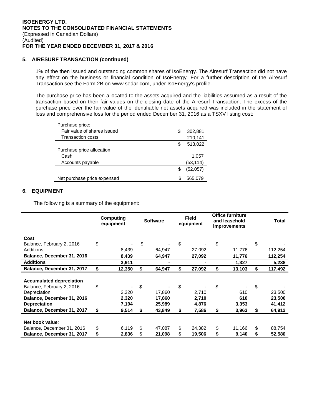## **5. AIRESURF TRANSACTION (continued)**

1% of the then issued and outstanding common shares of IsoEnergy. The Airesurf Transaction did not have any effect on the business or financial condition of IsoEnergy. For a further description of the Airesurf Transaction see the Form 2B on www.sedar.com, under IsoEnergy's profile.

The purchase price has been allocated to the assets acquired and the liabilities assumed as a result of the transaction based on their fair values on the closing date of the Airesurf Transaction. The excess of the purchase price over the fair value of the identifiable net assets acquired was included in the statement of loss and comprehensive loss for the period ended December 31, 2016 as a TSXV listing cost:

| Purchase price:             |               |
|-----------------------------|---------------|
| Fair value of shares issued | \$<br>302,881 |
| <b>Transaction costs</b>    | 210,141       |
|                             | 513,022       |
| Purchase price allocation:  |               |
| Cash                        | 1,057         |
|                             |               |
| Accounts payable            | (53, 114)     |
|                             | (52,057)      |

## **6. EQUIPMENT**

The following is a summary of the equipment:

|                                 | Computing<br>equipment |    | <b>Field</b><br><b>Software</b><br>equipment |    |        |    | <b>Office furniture</b><br>and leasehold<br><i>improvements</i> |               |  | <b>Total</b> |
|---------------------------------|------------------------|----|----------------------------------------------|----|--------|----|-----------------------------------------------------------------|---------------|--|--------------|
| Cost                            |                        |    |                                              |    |        |    |                                                                 |               |  |              |
| Balance, February 2, 2016       | \$                     | \$ |                                              | \$ |        | \$ |                                                                 | \$            |  |              |
| Additions                       | 8,439                  |    | 64,947                                       |    | 27,092 |    | 11,776                                                          | 112,254       |  |              |
| Balance, December 31, 2016      | 8,439                  |    | 64,947                                       |    | 27,092 |    | 11,776                                                          | 112,254       |  |              |
| <b>Additions</b>                | 3,911                  |    |                                              |    |        |    | 1,327                                                           | 5,238         |  |              |
| Balance, December 31, 2017      | \$<br>12,350           | \$ | 64,947                                       | \$ | 27,092 | \$ | 13,103                                                          | \$<br>117,492 |  |              |
| <b>Accumulated depreciation</b> |                        |    |                                              |    |        |    |                                                                 |               |  |              |
| Balance, February 2, 2016       | \$                     | \$ |                                              | \$ |        | \$ |                                                                 | \$            |  |              |
| Depreciation                    | 2,320                  |    | 17,860                                       |    | 2,710  |    | 610                                                             | 23,500        |  |              |
| Balance, December 31, 2016      | 2,320                  |    | 17,860                                       |    | 2,710  |    | 610                                                             | 23,500        |  |              |
| <b>Depreciation</b>             | 7,194                  |    | 25,989                                       |    | 4,876  |    | 3,353                                                           | 41,412        |  |              |
| Balance, December 31, 2017      | \$<br>9,514            | \$ | 43,849                                       | \$ | 7.586  | \$ | 3,963                                                           | \$<br>64,912  |  |              |
|                                 |                        |    |                                              |    |        |    |                                                                 |               |  |              |
| Net book value:                 |                        |    |                                              |    |        |    |                                                                 |               |  |              |
| Balance, December 31, 2016      | \$<br>6,119            | \$ | 47,087                                       | \$ | 24,382 | \$ | 11,166                                                          | \$<br>88,754  |  |              |
| Balance, December 31, 2017      | \$<br>2,836            |    | 21,098                                       | \$ | 19,506 | \$ | 9,140                                                           | \$<br>52,580  |  |              |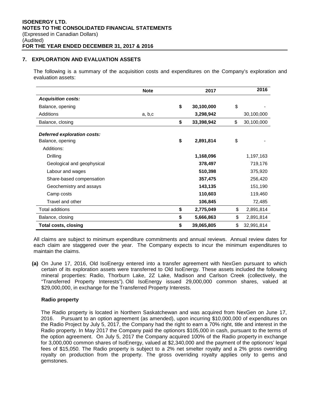## **7. EXPLORATION AND EVALUATION ASSETS**

The following is a summary of the acquisition costs and expenditures on the Company's exploration and evaluation assets:

|                                                 | <b>Note</b> | 2017             | 2016             |
|-------------------------------------------------|-------------|------------------|------------------|
| <b>Acquisition costs:</b>                       |             |                  |                  |
| Balance, opening                                |             | \$<br>30,100,000 | \$               |
| Additions                                       | a, b,c      | 3,298,942        | 30,100,000       |
| Balance, closing                                |             | \$<br>33,398,942 | \$<br>30,100,000 |
| Deferred exploration costs:<br>Balance, opening |             | \$<br>2,891,814  | \$               |
| Additions:                                      |             |                  |                  |
| Drilling                                        |             | 1,168,096        | 1,197,163        |
| Geological and geophysical                      |             | 378,497          | 719,176          |
| Labour and wages                                |             | 510,398          | 375,920          |
| Share-based compensation                        |             | 357,475          | 256,420          |
| Geochemistry and assays                         |             | 143,135          | 151,190          |
| Camp costs                                      |             | 110,603          | 119,460          |
| Travel and other                                |             | 106,845          | 72,485           |
| Total additions                                 |             | \$<br>2,775,049  | \$<br>2,891,814  |
| Balance, closing                                |             | \$<br>5,666,863  | \$<br>2,891,814  |
| <b>Total costs, closing</b>                     |             | \$<br>39,065,805 | \$<br>32,991,814 |

All claims are subject to minimum expenditure commitments and annual reviews. Annual review dates for each claim are staggered over the year. The Company expects to incur the minimum expenditures to maintain the claims.

**(a)** On June 17, 2016, Old IsoEnergy entered into a transfer agreement with NexGen pursuant to which certain of its exploration assets were transferred to Old IsoEnergy. These assets included the following mineral properties: Radio, Thorburn Lake, 2Z Lake, Madison and Carlson Creek (collectively, the "Transferred Property Interests"). Old IsoEnergy issued 29,000,000 common shares, valued at \$29,000,000, in exchange for the Transferred Property Interests.

## **Radio property**

The Radio property is located in Northern Saskatchewan and was acquired from NexGen on June 17, 2016. Pursuant to an option agreement (as amended), upon incurring \$10,000,000 of expenditures on the Radio Project by July 5, 2017, the Company had the right to earn a 70% right, title and interest in the Radio property. In May 2017 the Company paid the optionors \$105,000 in cash, pursuant to the terms of the option agreement. On July 5, 2017 the Company acquired 100% of the Radio property in exchange for 3,000,000 common shares of IsoEnergy, valued at \$2,340,000 and the payment of the optionors' legal fees of \$15,050. The Radio property is subject to a 2% net smelter royalty and a 2% gross overriding royalty on production from the property. The gross overriding royalty applies only to gems and gemstones.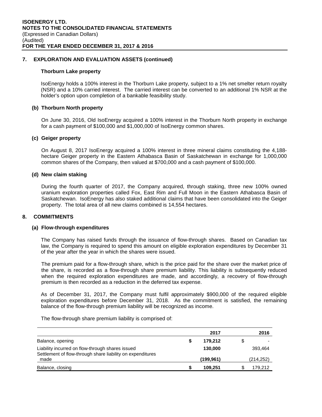## **7. EXPLORATION AND EVALUATION ASSETS (continued)**

#### **Thorburn Lake property**

IsoEnergy holds a 100% interest in the Thorburn Lake property, subject to a 1% net smelter return royalty (NSR) and a 10% carried interest. The carried interest can be converted to an additional 1% NSR at the holder's option upon completion of a bankable feasibility study.

#### **(b) Thorburn North property**

On June 30, 2016, Old IsoEnergy acquired a 100% interest in the Thorburn North property in exchange for a cash payment of \$100,000 and \$1,000,000 of IsoEnergy common shares.

#### **(c) Geiger property**

On August 8, 2017 IsoEnergy acquired a 100% interest in three mineral claims constituting the 4,188 hectare Geiger property in the Eastern Athabasca Basin of Saskatchewan in exchange for 1,000,000 common shares of the Company, then valued at \$700,000 and a cash payment of \$100,000.

#### **(d) New claim staking**

During the fourth quarter of 2017, the Company acquired, through staking, three new 100% owned uranium exploration properties called Fox, East Rim and Full Moon in the Eastern Athabasca Basin of Saskatchewan. IsoEnergy has also staked additional claims that have been consolidated into the Geiger property. The total area of all new claims combined is 14,554 hectares.

## **8. COMMITMENTS**

#### **(a) Flow-through expenditures**

The Company has raised funds through the issuance of flow-through shares. Based on Canadian tax law, the Company is required to spend this amount on eligible exploration expenditures by December 31 of the year after the year in which the shares were issued.

The premium paid for a flow-through share, which is the price paid for the share over the market price of the share, is recorded as a flow-through share premium liability. This liability is subsequently reduced when the required exploration expenditures are made, and accordingly, a recovery of flow-through premium is then recorded as a reduction in the deferred tax expense.

As of December 31, 2017, the Company must fulfil approximately \$900,000 of the required eligible exploration expenditures before December 31, 2018. As the commitment is satisfied, the remaining balance of the flow-through premium liability will be recognized as income.

The flow-through share premium liability is comprised of:

|                                                                                                                | 2017      | 2016       |
|----------------------------------------------------------------------------------------------------------------|-----------|------------|
| Balance, opening                                                                                               | 179.212   | \$         |
| Liability incurred on flow-through shares issued<br>Settlement of flow-through share liability on expenditures | 130,000   | 393,464    |
| made                                                                                                           | (199,961) | (214, 252) |
| Balance, closing                                                                                               | 109.251   | 179.212    |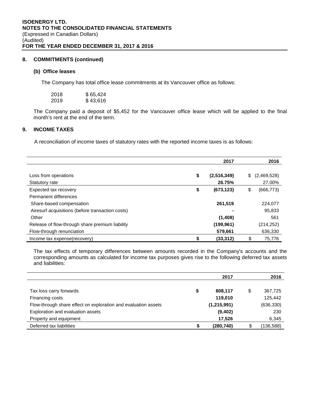## **8. COMMITMENTS (continued)**

#### **(b) Office leases**

The Company has total office lease commitments at its Vancouver office as follows:

| 2018 | \$65,424 |
|------|----------|
| 2019 | \$43,616 |

The Company paid a deposit of \$5,452 for the Vancouver office lease which will be applied to the final month's rent at the end of the term.

## **9. INCOME TAXES**

A reconciliation of income taxes of statutory rates with the reported income taxes is as follows:

|                                                  |    | 2017          |    | 2016        |
|--------------------------------------------------|----|---------------|----|-------------|
|                                                  |    |               |    |             |
| Loss from operations                             | \$ | (2, 516, 349) | S. | (2,469,528) |
| Statutory rate                                   |    | 26.75%        |    | 27.00%      |
| Expected tax recovery                            | \$ | (673, 123)    | \$ | (666, 773)  |
| Permanent differences                            |    |               |    |             |
| Share-based compensation                         |    | 261,519       |    | 224,077     |
| Airesurf acquisitions (before transaction costs) |    |               |    | 95,833      |
| Other                                            |    | (1,408)       |    | 561         |
| Release of flow-through share premium liability  |    | (199, 961)    |    | (214, 252)  |
| Flow-through renunciation                        |    | 579,661       |    | 636,330     |
| Income tax expense(recovery)                     | S  | (33, 312)     |    | 75.776      |

The tax effects of temporary differences between amounts recorded in the Company's accounts and the corresponding amounts as calculated for income tax purposes gives rise to the following deferred tax assets and liabilities:

|                                                                | 2017          | 2016          |
|----------------------------------------------------------------|---------------|---------------|
|                                                                |               |               |
| Tax loss carry forwards                                        | \$<br>808,117 | \$<br>367,725 |
| Financing costs                                                | 119,010       | 125.442       |
| Flow-through share effect on exploration and evaluation assets | (1,215,991)   | (636, 330)    |
| Exploration and evaluation assets                              | (9,402)       | 230           |
| Property and equipment                                         | 17,526        | 6,345         |
| Deferred tax liabilities                                       | (280, 740)    | (136,588)     |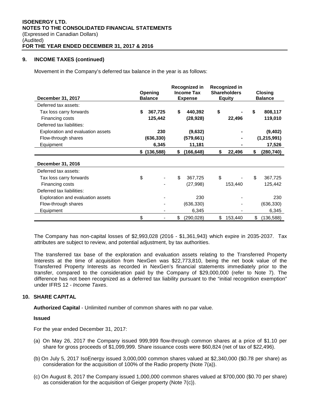## **9. INCOME TAXES (continued)**

Movement in the Company's deferred tax balance in the year is as follows:

| December 31, 2017                 | Opening<br><b>Balance</b> | Recognized in<br><b>Income Tax</b><br><b>Expense</b> | Recognized in<br><b>Shareholders</b><br><b>Equity</b> | <b>Closing</b><br><b>Balance</b> |
|-----------------------------------|---------------------------|------------------------------------------------------|-------------------------------------------------------|----------------------------------|
| Deferred tax assets:              |                           |                                                      |                                                       |                                  |
| Tax loss carry forwards           | \$<br>367,725             | \$<br>440,392                                        | \$                                                    | \$<br>808,117                    |
| Financing costs                   | 125,442                   | (28, 928)                                            | 22,496                                                | 119,010                          |
| Deferred tax liabilities:         |                           |                                                      |                                                       |                                  |
| Exploration and evaluation assets | 230                       | (9,632)                                              |                                                       | (9, 402)                         |
| Flow-through shares               | (636, 330)                | (579, 661)                                           |                                                       | (1,215,991)                      |
| Equipment                         | 6,345                     | 11,181                                               |                                                       | 17,526                           |
|                                   | $$$ (136,588)             | \$<br>(166, 648)                                     | \$<br>22,496                                          | \$<br>(280, 740)                 |
| December 31, 2016                 |                           |                                                      |                                                       |                                  |
| Deferred tax assets:              |                           |                                                      |                                                       |                                  |
| Tax loss carry forwards           | \$                        | \$<br>367,725                                        | \$                                                    | \$<br>367,725                    |
| Financing costs                   |                           | (27, 998)                                            | 153,440                                               | 125,442                          |
| Deferred tax liabilities:         |                           |                                                      |                                                       |                                  |
| Exploration and evaluation assets |                           | 230                                                  |                                                       | 230                              |
| Flow-through shares               |                           | (636, 330)                                           |                                                       | (636, 330)                       |
| Equipment                         |                           | 6,345                                                |                                                       | 6,345                            |
|                                   | \$                        | \$<br>(290, 028)                                     | \$<br>153,440                                         | \$<br>(136, 588)                 |

The Company has non-capital losses of \$2,993,028 (2016 - \$1,361,943) which expire in 2035-2037. Tax attributes are subject to review, and potential adjustment, by tax authorities.

The transferred tax base of the exploration and evaluation assets relating to the Transferred Property Interests at the time of acquisition from NexGen was \$22,773,810, being the net book value of the Transferred Property Interests as recorded in NexGen's financial statements immediately prior to the transfer, compared to the consideration paid by the Company of \$29,000,000 (refer to Note 7). The difference has not been recognized as a deferred tax liability pursuant to the "initial recognition exemption" under IFRS 12 - *Income Taxes*.

## **10. SHARE CAPITAL**

**Authorized Capital** - Unlimited number of common shares with no par value.

## **Issued**

For the year ended December 31, 2017:

- (a) On May 26, 2017 the Company issued 999,999 flow-through common shares at a price of \$1.10 per share for gross proceeds of \$1,099,999. Share issuance costs were \$60,824 (net of tax of \$22,496).
- (b) On July 5, 2017 IsoEnergy issued 3,000,000 common shares valued at \$2,340,000 (\$0.78 per share) as consideration for the acquisition of 100% of the Radio property (Note 7(a)).
- (c) On August 8, 2017 the Company issued 1,000,000 common shares valued at \$700,000 (\$0.70 per share) as consideration for the acquisition of Geiger property (Note 7(c)).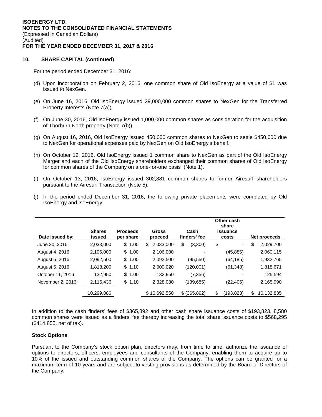## **10. SHARE CAPITAL (continued)**

For the period ended December 31, 2016:

- (d) Upon incorporation on February 2, 2016, one common share of Old IsoEnergy at a value of \$1 was issued to NexGen.
- (e) On June 16, 2016, Old IsoEnergy issued 29,000,000 common shares to NexGen for the Transferred Property Interests (Note 7(a)).
- (f) On June 30, 2016, Old IsoEnergy issued 1,000,000 common shares as consideration for the acquisition of Thorburn North property (Note 7(b)).
- (g) On August 16, 2016, Old IsoEnergy issued 450,000 common shares to NexGen to settle \$450,000 due to NexGen for operational expenses paid by NexGen on Old IsoEnergy's behalf.
- (h) On October 12, 2016, Old IsoEnergy issued 1 common share to NexGen as part of the Old IsoEnergy Merger and each of the Old IsoEnergy shareholders exchanged their common shares of Old IsoEnergy for common shares of the Company on a one-for-one basis (Note 1).
- (i) On October 13, 2016, IsoEnergy issued 302,881 common shares to former Airesurf shareholders pursuant to the Airesurf Transaction (Note 5).
- (j) In the period ended December 31, 2016, the following private placements were completed by Old IsoEnergy and IsoEnergy:

| Date issued by:  | <b>Shares</b><br>issued | <b>Proceeds</b><br>per share | <b>Gross</b><br>proceed | Cash<br>finders' fee | Other cash<br>share<br>issuance<br>costs | Net proceeds     |
|------------------|-------------------------|------------------------------|-------------------------|----------------------|------------------------------------------|------------------|
| June 30, 2016    | 2,033,000               | \$1.00                       | 2.033.000<br>S.         | \$<br>(3,300)        | \$<br>٠                                  | \$<br>2,029,700  |
| August 4, 2016   | 2,106,000               | \$1.00                       | 2,106,000               |                      | (45, 885)                                | 2,060,115        |
| August 5, 2016   | 2,092,500               | \$1.00                       | 2,092,500               | (95, 550)            | (64, 185)                                | 1,932,765        |
| August 5, 2016   | 1,818,200               | \$1.10                       | 2,000,020               | (120,001)            | (61, 348)                                | 1,818,671        |
| October 11, 2016 | 132,950                 | \$1.00                       | 132,950                 | (7, 356)             |                                          | 125.594          |
| November 2, 2016 | 2,116,436               | \$1.10                       | 2,328,080               | (139,685)            | (22,405)                                 | 2,165,990        |
|                  | 10,299,086              |                              | \$10,692,550            | $$$ (365,892)        | \$<br>(193,823)                          | 10,132,835<br>\$ |

In addition to the cash finders' fees of \$365,892 and other cash share issuance costs of \$193,823, 8,580 common shares were issued as a finders' fee thereby increasing the total share issuance costs to \$568,295 (\$414,855, net of tax).

## **Stock Options**

Pursuant to the Company's stock option plan, directors may, from time to time, authorize the issuance of options to directors, officers, employees and consultants of the Company, enabling them to acquire up to 10% of the issued and outstanding common shares of the Company. The options can be granted for a maximum term of 10 years and are subject to vesting provisions as determined by the Board of Directors of the Company.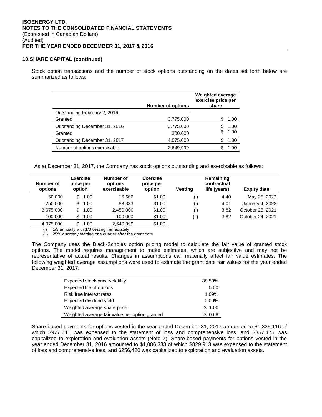#### **10.SHARE CAPITAL (continued)**

Stock option transactions and the number of stock options outstanding on the dates set forth below are summarized as follows:

|                               | <b>Number of options</b> | <b>Weighted average</b><br>exercise price per<br>share |  |
|-------------------------------|--------------------------|--------------------------------------------------------|--|
| Outstanding February 2, 2016  |                          |                                                        |  |
| Granted                       | 3,775,000                | 1.00                                                   |  |
| Outstanding December 31, 2016 | 3,775,000                | 1.00                                                   |  |
| Granted                       | 300,000                  | 1.00                                                   |  |
| Outstanding December 31, 2017 | 4,075,000                | 1.00                                                   |  |
| Number of options exercisable | 2,649,999                | 1.00                                                   |  |

As at December 31, 2017, the Company has stock options outstanding and exercisable as follows:

| Number of<br>options | <b>Exercise</b><br>price per<br>option | Number of<br>options<br>exercisable | <b>Exercise</b><br>price per<br>option | <b>Vesting</b> | Remaining<br>contractual<br>life (years) | <b>Expiry date</b> |
|----------------------|----------------------------------------|-------------------------------------|----------------------------------------|----------------|------------------------------------------|--------------------|
| 50,000               | 1.00<br>\$                             | 16.666                              | \$1.00                                 | (i)            | 4.40                                     | May 25, 2022       |
| 250,000              | 1.00<br>\$.                            | 83.333                              | \$1.00                                 | (i)            | 4.01                                     | January 4, 2022    |
| 3,675,000            | 1.00<br>\$.                            | 2.450.000                           | \$1.00                                 | (i)            | 3.82                                     | October 25, 2021   |
| 100.000              | 1.00<br>\$                             | 100,000                             | \$1.00                                 | (ii)           | 3.82                                     | October 24, 2021   |
| 4.075.000            | 1.00<br>\$                             | 2.649.999                           | \$1.00                                 |                |                                          |                    |

(i) 1/3 annually with 1/3 vesting immediately

(ii) 25% quarterly starting one quarter after the grant date

The Company uses the Black-Scholes option pricing model to calculate the fair value of granted stock options. The model requires management to make estimates, which are subjective and may not be representative of actual results. Changes in assumptions can materially affect fair value estimates. The following weighted average assumptions were used to estimate the grant date fair values for the year ended December 31, 2017:

| Expected stock price volatility                | 88.59%   |
|------------------------------------------------|----------|
| Expected life of options                       | 5.00     |
| Risk free interest rates                       | 1.09%    |
| Expected dividend yield                        | $0.00\%$ |
| Weighted average share price                   | \$1.00   |
| Weighted average fair value per option granted | \$0.68   |

Share-based payments for options vested in the year ended December 31, 2017 amounted to \$1,335,116 of which \$977,641 was expensed to the statement of loss and comprehensive loss, and \$357,475 was capitalized to exploration and evaluation assets (Note 7). Share-based payments for options vested in the year ended December 31, 2016 amounted to \$1,086,333 of which \$829,913 was expensed to the statement of loss and comprehensive loss, and \$256,420 was capitalized to exploration and evaluation assets.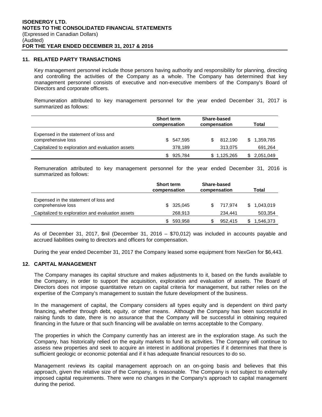#### **11. RELATED PARTY TRANSACTIONS**

Key management personnel include those persons having authority and responsibility for planning, directing and controlling the activities of the Company as a whole. The Company has determined that key management personnel consists of executive and non-executive members of the Company's Board of Directors and corporate officers.

Remuneration attributed to key management personnel for the year ended December 31, 2017 is summarized as follows:

|                                                             | <b>Short term</b><br>compensation | Share-based<br>compensation | Total           |  |
|-------------------------------------------------------------|-----------------------------------|-----------------------------|-----------------|--|
| Expensed in the statement of loss and<br>comprehensive loss | \$547.595                         | 812.190                     | 1,359,785<br>S. |  |
| Capitalized to exploration and evaluation assets            | 378,189                           | 313,075                     | 691,264         |  |
|                                                             | 925.784                           | \$1,125,265                 | 2,051,049       |  |

Remuneration attributed to key management personnel for the year ended December 31, 2016 is summarized as follows:

|                                                             | <b>Short term</b><br>compensation | Share-based<br>compensation | Total     |  |
|-------------------------------------------------------------|-----------------------------------|-----------------------------|-----------|--|
| Expensed in the statement of loss and<br>comprehensive loss | 325,045<br>S.                     | 717.974                     | 1,043,019 |  |
| Capitalized to exploration and evaluation assets            | 268,913                           | 234,441                     | 503,354   |  |
|                                                             | 593,958                           | 952,415                     | 1,546,373 |  |

As of December 31, 2017, \$nil (December 31, 2016 – \$70,012) was included in accounts payable and accrued liabilities owing to directors and officers for compensation.

During the year ended December 31, 2017 the Company leased some equipment from NexGen for \$6,443.

## **12. CAPITAL MANAGEMENT**

The Company manages its capital structure and makes adjustments to it, based on the funds available to the Company, in order to support the acquisition, exploration and evaluation of assets. The Board of Directors does not impose quantitative return on capital criteria for management, but rather relies on the expertise of the Company's management to sustain the future development of the business.

In the management of capital, the Company considers all types equity and is dependent on third party financing, whether through debt, equity, or other means. Although the Company has been successful in raising funds to date, there is no assurance that the Company will be successful in obtaining required financing in the future or that such financing will be available on terms acceptable to the Company.

The properties in which the Company currently has an interest are in the exploration stage. As such the Company, has historically relied on the equity markets to fund its activities. The Company will continue to assess new properties and seek to acquire an interest in additional properties if it determines that there is sufficient geologic or economic potential and if it has adequate financial resources to do so.

Management reviews its capital management approach on an on-going basis and believes that this approach, given the relative size of the Company, is reasonable. The Company is not subject to externally imposed capital requirements. There were no changes in the Company's approach to capital management during the period.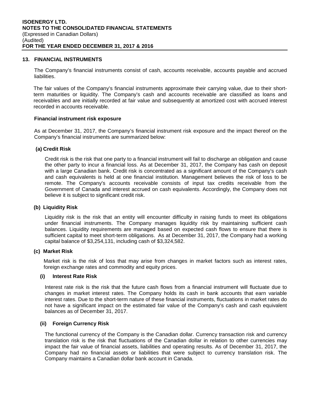#### **13. FINANCIAL INSTRUMENTS**

The Company's financial instruments consist of cash, accounts receivable, accounts payable and accrued liabilities.

The fair values of the Company's financial instruments approximate their carrying value, due to their shortterm maturities or liquidity. The Company's cash and accounts receivable are classified as loans and receivables and are initially recorded at fair value and subsequently at amortized cost with accrued interest recorded in accounts receivable.

#### **Financial instrument risk exposure**

As at December 31, 2017, the Company's financial instrument risk exposure and the impact thereof on the Company's financial instruments are summarized below:

#### **(a) Credit Risk**

Credit risk is the risk that one party to a financial instrument will fail to discharge an obligation and cause the other party to incur a financial loss. As at December 31, 2017, the Company has cash on deposit with a large Canadian bank. Credit risk is concentrated as a significant amount of the Company's cash and cash equivalents is held at one financial institution. Management believes the risk of loss to be remote. The Company's accounts receivable consists of input tax credits receivable from the Government of Canada and interest accrued on cash equivalents. Accordingly, the Company does not believe it is subject to significant credit risk.

#### **(b) Liquidity Risk**

Liquidity risk is the risk that an entity will encounter difficulty in raising funds to meet its obligations under financial instruments. The Company manages liquidity risk by maintaining sufficient cash balances. Liquidity requirements are managed based on expected cash flows to ensure that there is sufficient capital to meet short-term obligations. As at December 31, 2017, the Company had a working capital balance of \$3,254,131, including cash of \$3,324,582.

#### **(c) Market Risk**

Market risk is the risk of loss that may arise from changes in market factors such as interest rates, foreign exchange rates and commodity and equity prices.

## **(i) Interest Rate Risk**

Interest rate risk is the risk that the future cash flows from a financial instrument will fluctuate due to changes in market interest rates. The Company holds its cash in bank accounts that earn variable interest rates. Due to the short-term nature of these financial instruments, fluctuations in market rates do not have a significant impact on the estimated fair value of the Company's cash and cash equivalent balances as of December 31, 2017.

## **(ii) Foreign Currency Risk**

The functional currency of the Company is the Canadian dollar. Currency transaction risk and currency translation risk is the risk that fluctuations of the Canadian dollar in relation to other currencies may impact the fair value of financial assets, liabilities and operating results. As of December 31, 2017, the Company had no financial assets or liabilities that were subject to currency translation risk. The Company maintains a Canadian dollar bank account in Canada.